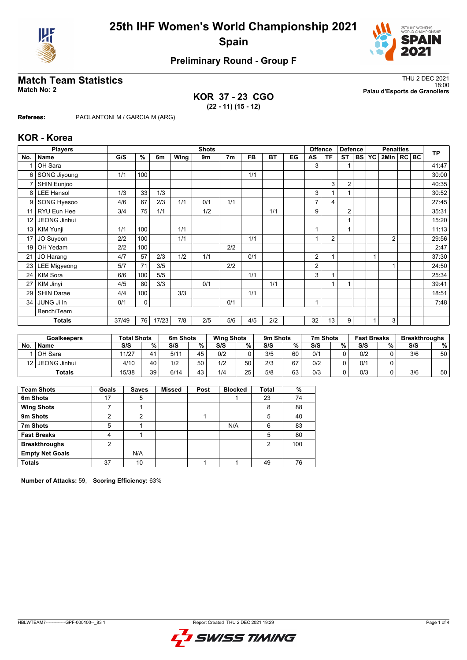



# **Preliminary Round - Group F**

### **KOR 37 - 23 CGO (22 - 11) (15 - 12)**

**Match Team Statistics** Thu 2 DEC 2021 18:00 **Match No: 2 Palau d'Esports de Granollers**

**Referees:** PAOLANTONI M / GARCIA M (ARG)

#### **KOR - Korea**

|                 | <b>Players</b>      | <b>Shots</b> |     |       |             |     |                |           |           |    | <b>Offence</b> | <b>Defence</b>          |                | <b>Penalties</b> |           |                |  | <b>TP</b> |       |
|-----------------|---------------------|--------------|-----|-------|-------------|-----|----------------|-----------|-----------|----|----------------|-------------------------|----------------|------------------|-----------|----------------|--|-----------|-------|
| No.             | Name                | G/S          | %   | 6m    | <b>Wing</b> | 9m  | 7 <sub>m</sub> | <b>FB</b> | <b>BT</b> | EG | AS             | ΤF                      | <b>ST</b>      | <b>BS</b>        | <b>YC</b> | 2Min   RC   BC |  |           |       |
|                 | OH Sara             |              |     |       |             |     |                |           |           |    | 3              |                         |                |                  |           |                |  |           | 41:47 |
| 6               | SONG Jiyoung        | 1/1          | 100 |       |             |     |                | 1/1       |           |    |                |                         |                |                  |           |                |  |           | 30:00 |
| 7               | SHIN Eunjoo         |              |     |       |             |     |                |           |           |    |                | 3                       | $\overline{2}$ |                  |           |                |  |           | 40:35 |
| 8               | <b>LEE Hansol</b>   | 1/3          | 33  | 1/3   |             |     |                |           |           |    | 3              |                         |                |                  |           |                |  |           | 30:52 |
| 9               | SONG Hyesoo         | 4/6          | 67  | 2/3   | 1/1         | 0/1 | 1/1            |           |           |    | $\overline{7}$ | 4                       |                |                  |           |                |  |           | 27:45 |
| 11              | RYU Eun Hee         | 3/4          | 75  | 1/1   |             | 1/2 |                |           | 1/1       |    | 9              |                         | $\overline{2}$ |                  |           |                |  |           | 35:31 |
| 12 <sup>°</sup> | JEONG Jinhui        |              |     |       |             |     |                |           |           |    |                |                         |                |                  |           |                |  |           | 15:20 |
| 13              | KIM Yunji           | 1/1          | 100 |       | 1/1         |     |                |           |           |    | $\overline{ }$ |                         |                |                  |           |                |  |           | 11:13 |
| 17 <sub>1</sub> | JO Suyeon           | 2/2          | 100 |       | 1/1         |     |                | 1/1       |           |    |                | 2                       |                |                  |           | $\overline{2}$ |  |           | 29:56 |
| 19              | OH Yedam            | 2/2          | 100 |       |             |     | 2/2            |           |           |    |                |                         |                |                  |           |                |  |           | 2:47  |
| 21              | JO Harang           | 4/7          | 57  | 2/3   | 1/2         | 1/1 |                | 0/1       |           |    | 2              | $\overline{\mathbf{A}}$ |                |                  |           |                |  |           | 37:30 |
| 23              | <b>LEE Migyeong</b> | 5/7          | 71  | 3/5   |             |     | 2/2            |           |           |    | 2              |                         |                |                  |           |                |  |           | 24:50 |
| 24              | KIM Sora            | 6/6          | 100 | 5/5   |             |     |                | 1/1       |           |    | 3              | 1                       |                |                  |           |                |  |           | 25:34 |
| 27              | KIM Jinyi           | 4/5          | 80  | 3/3   |             | 0/1 |                |           | 1/1       |    |                | 1                       |                |                  |           |                |  |           | 39:41 |
| 29              | <b>SHIN Darae</b>   | 4/4          | 100 |       | 3/3         |     |                | 1/1       |           |    |                |                         |                |                  |           |                |  |           | 18:51 |
| 34              | JUNG Ji In          | 0/1          | 0   |       |             |     | 0/1            |           |           |    | 1              |                         |                |                  |           |                |  |           | 7:48  |
|                 | Bench/Team          |              |     |       |             |     |                |           |           |    |                |                         |                |                  |           |                |  |           |       |
|                 | <b>Totals</b>       | 37/49        | 76  | 17/23 | 7/8         | 2/5 | 5/6            | 4/5       | 2/2       |    | 32             | 13                      | 9              |                  |           | 3              |  |           |       |

|                 | <b>Goalkeepers</b> | <b>Total Shots</b> |    | 6m Shots |    | <b>Wing Shots</b> |    | 9m Shots |    | 7m Shots |    | <b>Fast Breaks</b> |   | <b>Breakthroughs</b> |    |
|-----------------|--------------------|--------------------|----|----------|----|-------------------|----|----------|----|----------|----|--------------------|---|----------------------|----|
| No              | <b>Name</b>        | S/S                | %  | S/S      | %. | S/S               | %  | S/S      | %  | S/S      | %. | S/S                | % | S/S                  | %  |
|                 | <b>OH</b> Sara     | 11/27              | 41 | 5/11     | 45 | 0/2               |    | 3/5      | 60 | 0/1      |    | 0/2                |   | 3/6                  | 50 |
| 12 <sub>1</sub> | JEONG Jinhui       | 4/10               | 40 | 1/2      | 50 | 1/2               | 50 | 2/3      | 67 | 0/2      |    | 0/1                |   |                      |    |
|                 | <b>Totals</b>      | 15/38              | 39 | 6/14     | 43 | 1/4               | 25 | 5/8      | 63 | 0/3      |    | 0/3                |   | 3/6                  | 50 |

| <b>Team Shots</b>      | Goals | <b>Saves</b> | <b>Missed</b> | Post | <b>Blocked</b> | <b>Total</b> | %   |
|------------------------|-------|--------------|---------------|------|----------------|--------------|-----|
| 6m Shots               | 17    | 5            |               |      |                | 23           | 74  |
| <b>Wing Shots</b>      |       |              |               |      |                | 8            | 88  |
| 9m Shots               | ∩     | 2            |               |      |                | 5            | 40  |
| 7m Shots               | 5     |              |               |      | N/A            | 6            | 83  |
| <b>Fast Breaks</b>     | 4     |              |               |      |                | 5            | 80  |
| <b>Breakthroughs</b>   | 2     |              |               |      |                | 2            | 100 |
| <b>Empty Net Goals</b> |       | N/A          |               |      |                |              |     |
| <b>Totals</b>          | 37    | 10           |               |      |                | 49           | 76  |

**Number of Attacks:** 59, **Scoring Efficiency:** 63%

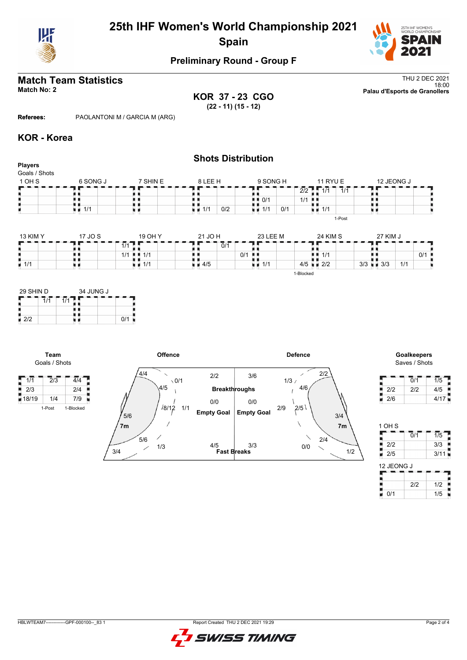

# **25th IHF Women's World Championship 2021 Spain**



### **Preliminary Round - Group F**

# **Match Team Statistics** Thu 2 DEC 2021

**KOR 37 - 23 CGO (22 - 11) (15 - 12)**

18:00 **Match No: 2 Palau d'Esports de Granollers**

**Referees:** PAOLANTONI M / GARCIA M (ARG)

#### **KOR - Korea**

1/1

#### **Shots Distribution Players** Goals / Shots  $9$  SONG H 1 OH S 6 SONG J 7 SHIN E 8 LEE H 11 RYU E 12 JEONG J T F a an  $\frac{1}{1}$ <br> $\frac{1}{1}$ <br> $\frac{1}{1/1}$ 1<br>111 0/2 1 2/2 1 1 1/1 1 1/1 8 A A H)  $\blacksquare$  0/1 | 1/1  $\frac{1}{2}$  1/1 υø  $1/1$  0/1 υø 1-Post 13 KIM Y 17 JO S 19 OH Y 21 JO H 23 LEE M 24 KIM S 27 KIM J  $\overline{1/1}$ r ۲F ۲F Н ×  $\overline{0}/\overline{1}$ e<br>S ł. ł. Ħ 0/1 0/1

 $1/1$  4/5

1-Blocked

■ 1/1

 $\blacksquare$  2/2  $\blacksquare$  3/3

 $3/3$  3/3 1/1

 $\frac{1}{4}$   $\frac{1}{4}$ 

| 29 SHIN D |     | 34 JUNG J |     |
|-----------|-----|-----------|-----|
|           | 1/1 |           |     |
| 212       |     |           | 0/1 |

**Team**

1/1 1/1

■ 1/1



Saves / Shots

Н

|     | 0/1 | 1/5  |
|-----|-----|------|
| 2/2 | 2/2 | 4/5  |
| 2/6 |     | 4/17 |

| 1 OH S     |                  |                  |
|------------|------------------|------------------|
|            | $\overline{0}/1$ | $\overline{1/5}$ |
| 2/2        |                  | 3/3              |
| 2/5        |                  | 3/11             |
| 12 JEONG J |                  |                  |
|            |                  |                  |
|            |                  |                  |
|            | 2/2              | 1/2              |

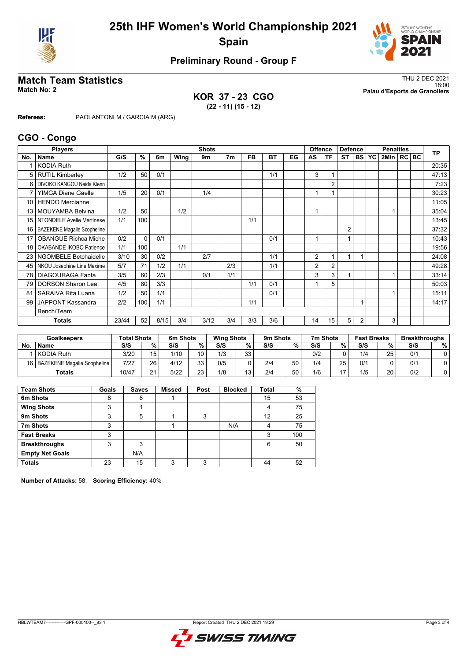



# **Preliminary Round - Group F**

**KOR 37 - 23 CGO (22 - 11) (15 - 12)**

**Match Team Statistics** Thu 2 DEC 2021 18:00 **Match No: 2 Palau d'Esports de Granollers**

**Referees:** PAOLANTONI M / GARCIA M (ARG)

#### **CGO - Congo**

| <b>Players</b>  |                                    |       |               |      |      | <b>Shots</b> |                | <b>Offence</b> |           |    |    | <b>Defence</b> |                | <b>Penalties</b> |           |              |  | <b>TP</b> |       |
|-----------------|------------------------------------|-------|---------------|------|------|--------------|----------------|----------------|-----------|----|----|----------------|----------------|------------------|-----------|--------------|--|-----------|-------|
| No.             | <b>Name</b>                        | G/S   | $\frac{9}{6}$ | 6m   | Wing | 9m           | 7 <sub>m</sub> | FB             | <b>BT</b> | EG | AS | <b>TF</b>      | <b>ST</b>      | <b>BS</b>        | <b>YC</b> | 2Min   RC BC |  |           |       |
|                 | <b>KODIA Ruth</b>                  |       |               |      |      |              |                |                |           |    |    |                |                |                  |           |              |  |           | 20:35 |
| 5               | <b>RUTIL Kimberley</b>             | 1/2   | 50            | 0/1  |      |              |                |                | 1/1       |    | 3  | 1              |                |                  |           |              |  |           | 47:13 |
| 6               | DIVOKO KANGOU Neida Klenn          |       |               |      |      |              |                |                |           |    |    | $\overline{2}$ |                |                  |           |              |  |           | 7:23  |
|                 | <b>YIMGA Diane Gaelle</b>          | 1/5   | 20            | 0/1  |      | 1/4          |                |                |           |    |    |                |                |                  |           |              |  |           | 30:23 |
| 10 <sup>1</sup> | <b>HENDO</b> Mercianne             |       |               |      |      |              |                |                |           |    |    |                |                |                  |           |              |  |           | 11:05 |
| 13              | <b>MOUYAMBA Belvina</b>            | 1/2   | 50            |      | 1/2  |              |                |                |           |    |    |                |                |                  |           |              |  |           | 35:04 |
| 15 <sup>1</sup> | NTONDELE Avelle Martinese          | 1/1   | 100           |      |      |              |                | 1/1            |           |    |    |                |                |                  |           |              |  |           | 13:45 |
| 16              | <b>BAZEKENE Magalie Scopheline</b> |       |               |      |      |              |                |                |           |    |    |                | $\overline{2}$ |                  |           |              |  |           | 37:32 |
| 17              | <b>OBANGUE Richca Miche</b>        | 0/2   | $\Omega$      | 0/1  |      |              |                |                | 0/1       |    |    |                | 1              |                  |           |              |  |           | 10:43 |
| 18              | OKABANDE IKOBO Patience            | 1/1   | 100           |      | 1/1  |              |                |                |           |    |    |                |                |                  |           |              |  |           | 19:56 |
| 23 <sub>1</sub> | <b>NGOMBELE Betchaidelle</b>       | 3/10  | 30            | 0/2  |      | 2/7          |                |                | 1/1       |    | 2  | 1              | 1              |                  |           |              |  |           | 24:08 |
| 45              | NKOU Josephine Line Maxime         | 5/7   | 71            | 1/2  | 1/1  |              | 2/3            |                | 1/1       |    | 2  | 2              |                |                  |           |              |  |           | 49:28 |
| 78              | <b>DIAGOURAGA Fanta</b>            | 3/5   | 60            | 2/3  |      | 0/1          | 1/1            |                |           |    | 3  | 3              |                |                  |           | 1            |  |           | 33:14 |
| 79              | <b>DORSON Sharon Lea</b>           | 4/5   | 80            | 3/3  |      |              |                | 1/1            | 0/1       |    |    | 5              |                |                  |           |              |  |           | 50:03 |
| 81              | SARAIVA Rita Luana                 | 1/2   | 50            | 1/1  |      |              |                |                | 0/1       |    |    |                |                |                  |           |              |  |           | 15:11 |
| 99              | <b>JAPPONT Kassandra</b>           | 2/2   | 100           | 1/1  |      |              |                | 1/1            |           |    |    |                |                |                  |           |              |  |           | 14:17 |
|                 | Bench/Team                         |       |               |      |      |              |                |                |           |    |    |                |                |                  |           |              |  |           |       |
|                 | Totals                             | 23/44 | 52            | 8/15 | 3/4  | 3/12         | 3/4            | 3/3            | 3/6       |    | 14 | 15             | 5              | 2                |           | 3            |  |           |       |

| <b>Goalkeepers</b> |                                  | <b>Total Shots</b> |                 | 6m Shots |           |     | <b>Wing Shots</b> |     | 9m Shots |     | 7m Shots       | <b>Fast Breaks</b> |    | <b>Breakthroughs</b> |   |
|--------------------|----------------------------------|--------------------|-----------------|----------|-----------|-----|-------------------|-----|----------|-----|----------------|--------------------|----|----------------------|---|
| No.                | <b>Name</b>                      | S/S                | %.              | S/S      | %         | S/S | %                 | S/S | %        | S/S | %              | S/S                | %  | S/S                  | % |
|                    | KODIA Ruth                       | 3/20               | 15              | 1/10     | 10        | 1/3 | 33                |     |          | 0/2 |                | 1/4                | 25 | 0/1                  |   |
|                    | 16   BAZEKENE Magalie Scopheline | 7/27               | 26 <sub>1</sub> | 4/12     | っっ<br>ں ر | 0/5 |                   | 2/4 | 50       | 1/4 | 25             | 0/2                |    | 0/1                  |   |
|                    | <b>Totals</b>                    | 10/47              | $\Omega$        | 5/22     | つつ<br>دے  | 1/8 | '3                | 2/4 | 50       | 1/6 | $\overline{4}$ | 1/5                | 20 | 0/2                  |   |

| <b>Team Shots</b>      | Goals | <b>Saves</b> | <b>Missed</b> | Post | <b>Blocked</b> | Total | %   |
|------------------------|-------|--------------|---------------|------|----------------|-------|-----|
| 6m Shots               | 8     | 6            |               |      |                | 15    | 53  |
| <b>Wing Shots</b>      | 3     |              |               |      |                | 4     | 75  |
| 9m Shots               | 3     | 5            |               | 3    |                | 12    | 25  |
| 7m Shots               | 3     |              |               |      | N/A            | 4     | 75  |
| <b>Fast Breaks</b>     | 3     |              |               |      |                | 3     | 100 |
| <b>Breakthroughs</b>   | 3     | 3            |               |      |                | 6     | 50  |
| <b>Empty Net Goals</b> |       | N/A          |               |      |                |       |     |
| <b>Totals</b>          | 23    | 15           | 3             | ົ    |                | 44    | 52  |

**Number of Attacks:** 58, **Scoring Efficiency:** 40%